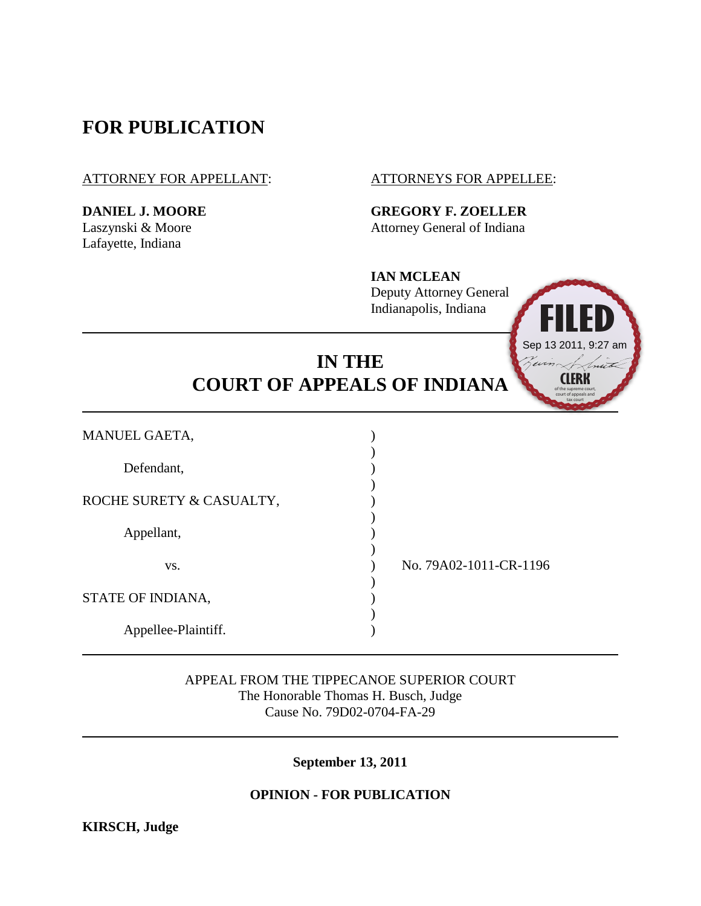# **FOR PUBLICATION**

ATTORNEY FOR APPELLANT: ATTORNEYS FOR APPELLEE:

Lafayette, Indiana

**DANIEL J. MOORE GREGORY F. ZOELLER** Laszynski & Moore Attorney General of Indiana

> **IAN MCLEAN** Deputy Attorney General Indianapolis, Indiana

# **IN THE COURT OF APPEALS OF INDIANA**

| APPEAL FROM THE TIPPECANOE SUPERIOR COURT<br>The Honorable Thomas H. Busch, Judge<br>Cause No. 79D02-0704-FA-29<br><b>September 13, 2011</b><br><b>OPINION - FOR PUBLICATION</b><br><b>KIRSCH, Judge</b> |                                                                          |                     |  |
|----------------------------------------------------------------------------------------------------------------------------------------------------------------------------------------------------------|--------------------------------------------------------------------------|---------------------|--|
|                                                                                                                                                                                                          |                                                                          | Appellee-Plaintiff. |  |
|                                                                                                                                                                                                          |                                                                          | STATE OF INDIANA,   |  |
| VS.                                                                                                                                                                                                      | No. 79A02-1011-CR-1196                                                   |                     |  |
| Appellant,                                                                                                                                                                                               |                                                                          |                     |  |
| ROCHE SURETY & CASUALTY,                                                                                                                                                                                 |                                                                          |                     |  |
| Defendant,                                                                                                                                                                                               |                                                                          |                     |  |
| MANUEL GAETA,                                                                                                                                                                                            |                                                                          |                     |  |
| Sep 13 2011, 9:27 a<br><b>IN THE</b><br>win<br>nut<br><b>COURT OF APPEALS OF INDIANA</b>                                                                                                                 |                                                                          |                     |  |
|                                                                                                                                                                                                          | IAI\ MIULLAI\<br><b>Deputy Attorney General</b><br>Indianapolis, Indiana |                     |  |

**CLERK** of the supreme court, court of appeals and tax court

Sep 13 2011, 9:27 am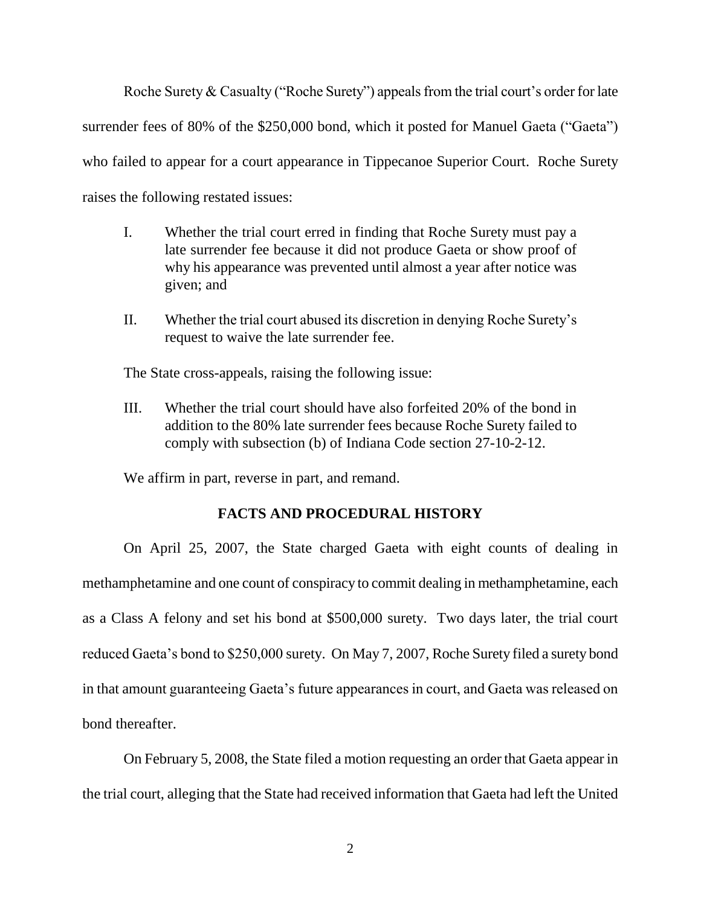Roche Surety  $& Casuality$  ("Roche Surety") appeals from the trial court's order for late surrender fees of 80% of the \$250,000 bond, which it posted for Manuel Gaeta ("Gaeta") who failed to appear for a court appearance in Tippecanoe Superior Court. Roche Surety raises the following restated issues:

- I. Whether the trial court erred in finding that Roche Surety must pay a late surrender fee because it did not produce Gaeta or show proof of why his appearance was prevented until almost a year after notice was given; and
- II. Whether the trial court abused its discretion in denying Roche Surety"s request to waive the late surrender fee.

The State cross-appeals, raising the following issue:

III. Whether the trial court should have also forfeited 20% of the bond in addition to the 80% late surrender fees because Roche Surety failed to comply with subsection (b) of Indiana Code section 27-10-2-12.

We affirm in part, reverse in part, and remand.

## **FACTS AND PROCEDURAL HISTORY**

On April 25, 2007, the State charged Gaeta with eight counts of dealing in methamphetamine and one count of conspiracy to commit dealing in methamphetamine, each as a Class A felony and set his bond at \$500,000 surety. Two days later, the trial court reduced Gaeta"s bond to \$250,000 surety. On May 7, 2007, Roche Surety filed a surety bond in that amount guaranteeing Gaeta"s future appearances in court, and Gaeta was released on bond thereafter.

On February 5, 2008, the State filed a motion requesting an order that Gaeta appear in the trial court, alleging that the State had received information that Gaeta had left the United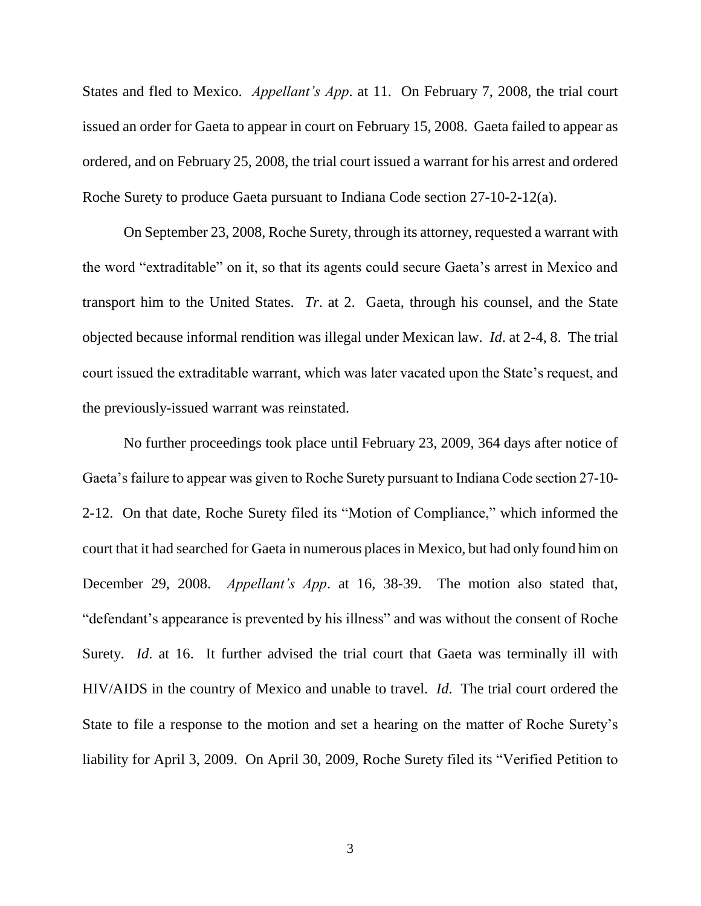States and fled to Mexico. *Appellant's App*. at 11. On February 7, 2008, the trial court issued an order for Gaeta to appear in court on February 15, 2008. Gaeta failed to appear as ordered, and on February 25, 2008, the trial court issued a warrant for his arrest and ordered Roche Surety to produce Gaeta pursuant to Indiana Code section 27-10-2-12(a).

On September 23, 2008, Roche Surety, through its attorney, requested a warrant with the word "extraditable" on it, so that its agents could secure Gaeta"s arrest in Mexico and transport him to the United States. *Tr*. at 2. Gaeta, through his counsel, and the State objected because informal rendition was illegal under Mexican law. *Id*. at 2-4, 8. The trial court issued the extraditable warrant, which was later vacated upon the State"s request, and the previously-issued warrant was reinstated.

No further proceedings took place until February 23, 2009, 364 days after notice of Gaeta"s failure to appear was given to Roche Surety pursuant to Indiana Code section 27-10- 2-12. On that date, Roche Surety filed its "Motion of Compliance," which informed the court that it had searched for Gaeta in numerous places in Mexico, but had only found him on December 29, 2008. *Appellant's App*. at 16, 38-39. The motion also stated that, "defendant"s appearance is prevented by his illness" and was without the consent of Roche Surety. *Id*. at 16. It further advised the trial court that Gaeta was terminally ill with HIV/AIDS in the country of Mexico and unable to travel. *Id*. The trial court ordered the State to file a response to the motion and set a hearing on the matter of Roche Surety"s liability for April 3, 2009. On April 30, 2009, Roche Surety filed its "Verified Petition to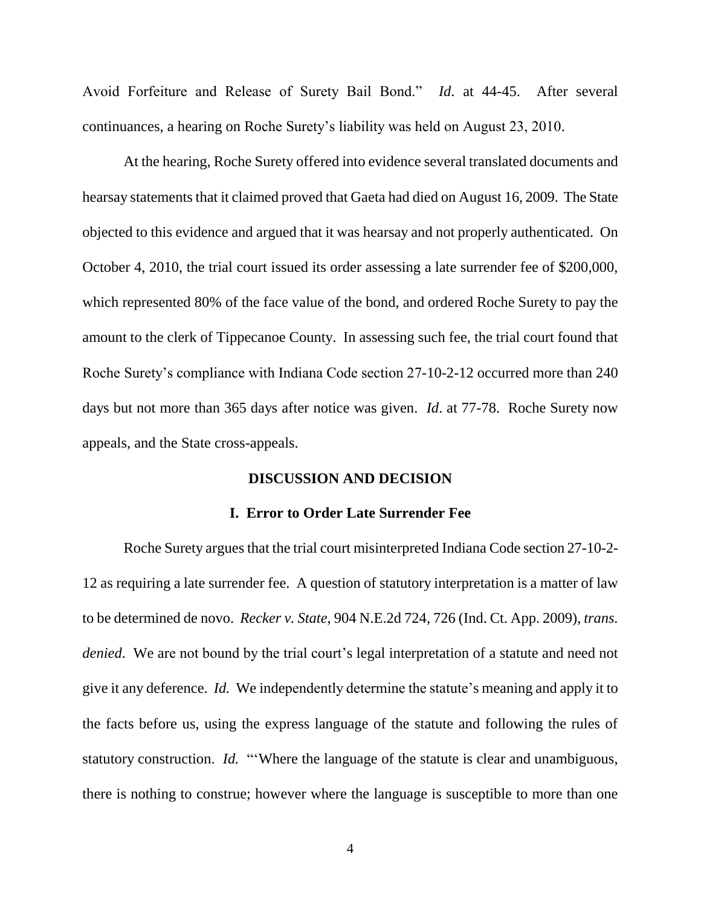Avoid Forfeiture and Release of Surety Bail Bond." *Id*. at 44-45. After several continuances, a hearing on Roche Surety"s liability was held on August 23, 2010.

At the hearing, Roche Surety offered into evidence several translated documents and hearsay statements that it claimed proved that Gaeta had died on August 16, 2009. The State objected to this evidence and argued that it was hearsay and not properly authenticated. On October 4, 2010, the trial court issued its order assessing a late surrender fee of \$200,000, which represented 80% of the face value of the bond, and ordered Roche Surety to pay the amount to the clerk of Tippecanoe County. In assessing such fee, the trial court found that Roche Surety's compliance with Indiana Code section 27-10-2-12 occurred more than 240 days but not more than 365 days after notice was given. *Id*. at 77-78. Roche Surety now appeals, and the State cross-appeals.

#### **DISCUSSION AND DECISION**

#### **I. Error to Order Late Surrender Fee**

Roche Surety argues that the trial court misinterpreted Indiana Code section 27-10-2- 12 as requiring a late surrender fee. A question of statutory interpretation is a matter of law to be determined de novo. *Recker v. State*, 904 N.E.2d 724, 726 (Ind. Ct. App. 2009), *trans. denied*. We are not bound by the trial court's legal interpretation of a statute and need not give it any deference. *Id.* We independently determine the statute's meaning and apply it to the facts before us, using the express language of the statute and following the rules of statutory construction. *Id.* "Where the language of the statute is clear and unambiguous, there is nothing to construe; however where the language is susceptible to more than one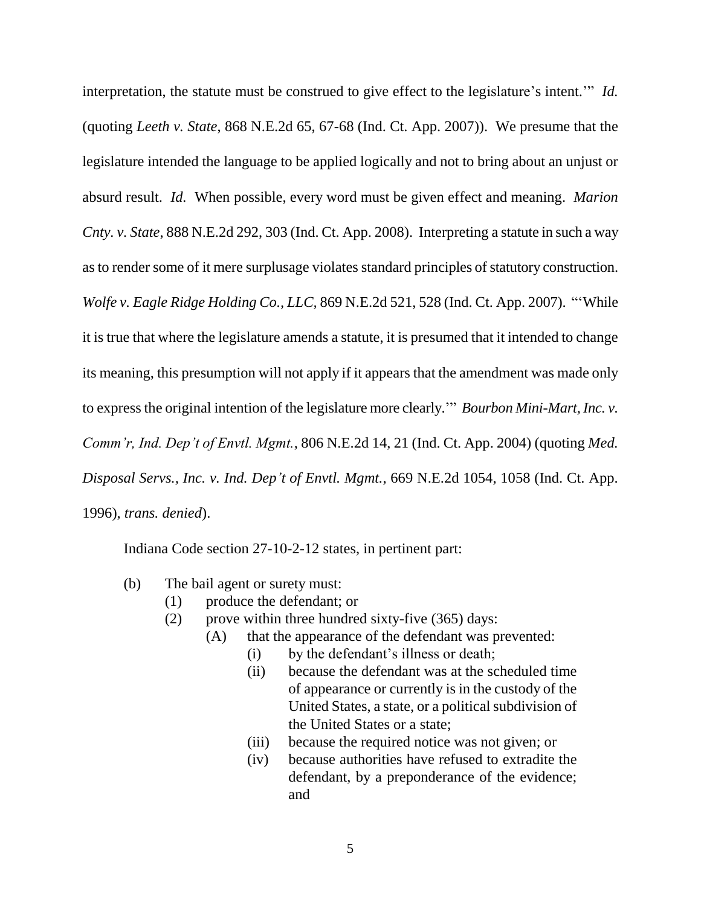interpretation, the statute must be construed to give effect to the legislature's intent."" *Id.* (quoting *Leeth v. State*, 868 N.E.2d 65, 67-68 (Ind. Ct. App. 2007)). We presume that the legislature intended the language to be applied logically and not to bring about an unjust or absurd result. *Id.* When possible, every word must be given effect and meaning. *Marion Cnty. v. State*, 888 N.E.2d 292, 303 (Ind. Ct. App. 2008). Interpreting a statute in such a way as to render some of it mere surplusage violates standard principles of statutory construction. *Wolfe v. Eagle Ridge Holding Co., LLC,* 869 N.E.2d 521, 528 (Ind. Ct. App. 2007). ""While it is true that where the legislature amends a statute, it is presumed that it intended to change its meaning, this presumption will not apply if it appears that the amendment was made only to express the original intention of the legislature more clearly."" *Bourbon Mini-Mart, Inc. v. Comm'r, Ind. Dep't of Envtl. Mgmt.*, 806 N.E.2d 14, 21 (Ind. Ct. App. 2004) (quoting *Med. Disposal Servs., Inc. v. Ind. Dep't of Envtl. Mgmt.*, 669 N.E.2d 1054, 1058 (Ind. Ct. App. 1996), *trans. denied*).

Indiana Code section 27-10-2-12 states, in pertinent part:

- (b) The bail agent or surety must:
	- (1) produce the defendant; or
	- (2) prove within three hundred sixty-five (365) days:
		- (A) that the appearance of the defendant was prevented:
			- (i) by the defendant"s illness or death;
			- (ii) because the defendant was at the scheduled time of appearance or currently is in the custody of the United States, a state, or a political subdivision of the United States or a state;
			- (iii) because the required notice was not given; or
			- (iv) because authorities have refused to extradite the defendant, by a preponderance of the evidence; and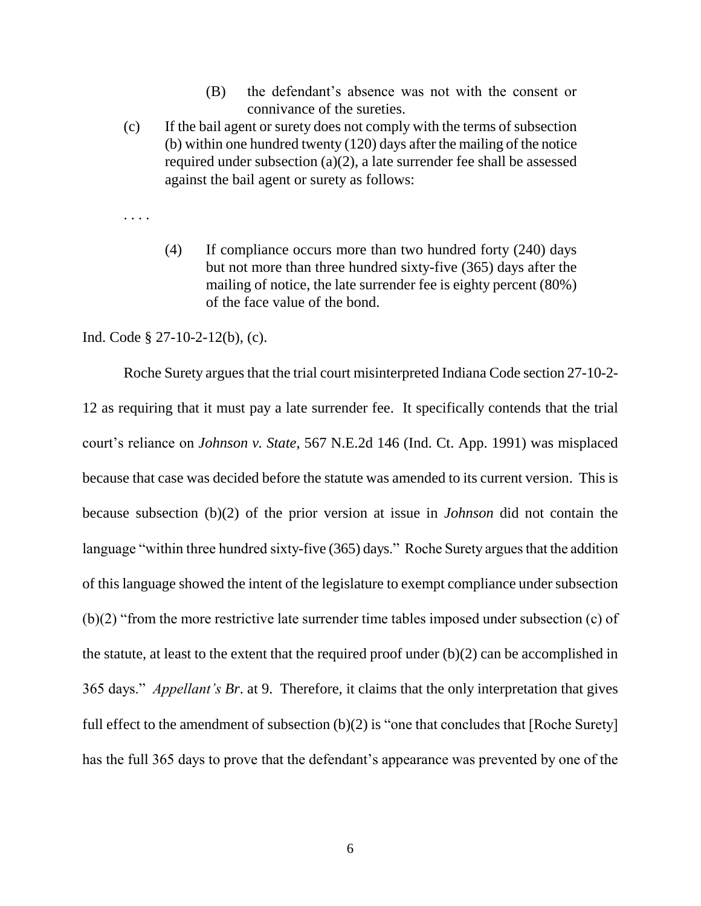- (B) the defendant"s absence was not with the consent or connivance of the sureties.
- (c) If the bail agent or surety does not comply with the terms of subsection (b) within one hundred twenty (120) days after the mailing of the notice required under subsection (a)(2), a late surrender fee shall be assessed against the bail agent or surety as follows:
- . . . .
- (4) If compliance occurs more than two hundred forty (240) days but not more than three hundred sixty-five (365) days after the mailing of notice, the late surrender fee is eighty percent (80%) of the face value of the bond.

Ind. Code § 27-10-2-12(b), (c).

Roche Surety argues that the trial court misinterpreted Indiana Code section 27-10-2- 12 as requiring that it must pay a late surrender fee. It specifically contends that the trial court"s reliance on *Johnson v. State*, 567 N.E.2d 146 (Ind. Ct. App. 1991) was misplaced because that case was decided before the statute was amended to its current version. This is because subsection (b)(2) of the prior version at issue in *Johnson* did not contain the language "within three hundred sixty-five (365) days." Roche Surety argues that the addition of this language showed the intent of the legislature to exempt compliance under subsection (b)(2) "from the more restrictive late surrender time tables imposed under subsection (c) of the statute, at least to the extent that the required proof under (b)(2) can be accomplished in 365 days." *Appellant's Br*. at 9. Therefore, it claims that the only interpretation that gives full effect to the amendment of subsection (b)(2) is "one that concludes that [Roche Surety] has the full 365 days to prove that the defendant's appearance was prevented by one of the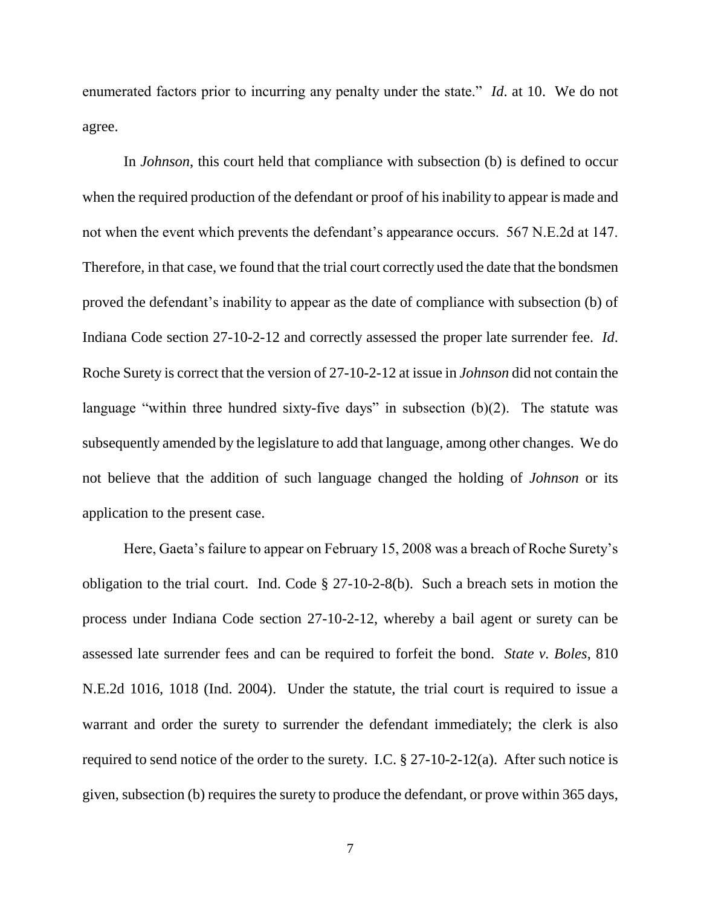enumerated factors prior to incurring any penalty under the state." *Id*. at 10. We do not agree.

In *Johnson*, this court held that compliance with subsection (b) is defined to occur when the required production of the defendant or proof of his inability to appear is made and not when the event which prevents the defendant's appearance occurs. 567 N.E.2d at 147. Therefore, in that case, we found that the trial court correctly used the date that the bondsmen proved the defendant"s inability to appear as the date of compliance with subsection (b) of Indiana Code section 27-10-2-12 and correctly assessed the proper late surrender fee. *Id*. Roche Surety is correct that the version of 27-10-2-12 at issue in *Johnson* did not contain the language "within three hundred sixty-five days" in subsection  $(b)(2)$ . The statute was subsequently amended by the legislature to add that language, among other changes. We do not believe that the addition of such language changed the holding of *Johnson* or its application to the present case.

Here, Gaeta's failure to appear on February 15, 2008 was a breach of Roche Surety's obligation to the trial court. Ind. Code § 27-10-2-8(b). Such a breach sets in motion the process under Indiana Code section 27-10-2-12, whereby a bail agent or surety can be assessed late surrender fees and can be required to forfeit the bond. *State v. Boles*, 810 N.E.2d 1016, 1018 (Ind. 2004). Under the statute, the trial court is required to issue a warrant and order the surety to surrender the defendant immediately; the clerk is also required to send notice of the order to the surety. I.C.  $\S 27-10-2-12(a)$ . After such notice is given, subsection (b) requires the surety to produce the defendant, or prove within 365 days,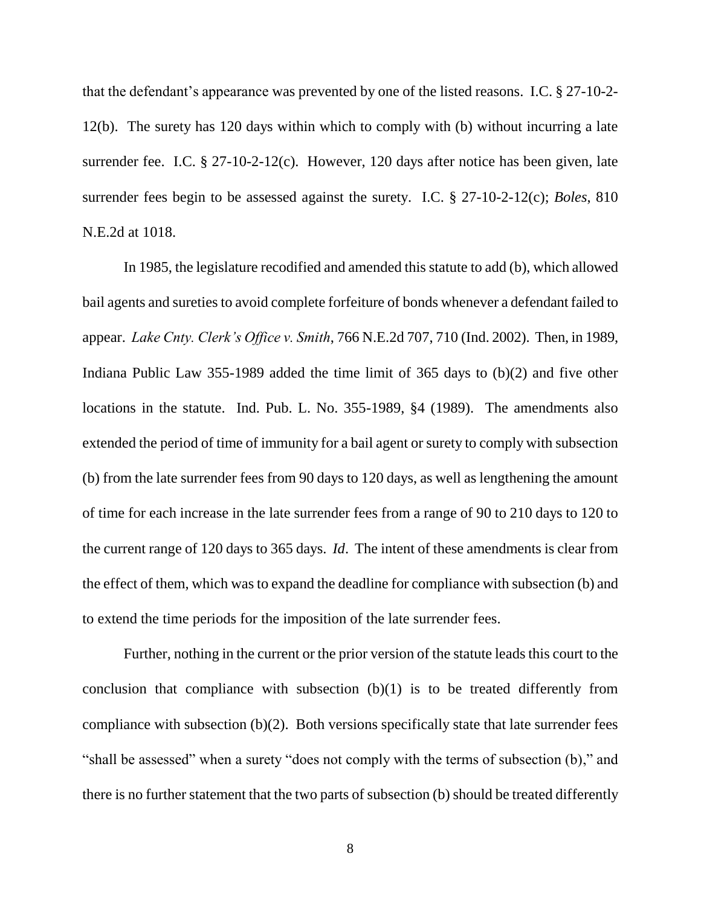that the defendant's appearance was prevented by one of the listed reasons. I.C. § 27-10-2-12(b). The surety has 120 days within which to comply with (b) without incurring a late surrender fee. I.C. § 27-10-2-12(c). However, 120 days after notice has been given, late surrender fees begin to be assessed against the surety. I.C. § 27-10-2-12(c); *Boles*, 810 N.E.2d at 1018.

In 1985, the legislature recodified and amended this statute to add (b), which allowed bail agents and sureties to avoid complete forfeiture of bonds whenever a defendant failed to appear. *Lake Cnty. Clerk's Office v. Smith*, 766 N.E.2d 707, 710 (Ind. 2002). Then, in 1989, Indiana Public Law 355-1989 added the time limit of 365 days to (b)(2) and five other locations in the statute. Ind. Pub. L. No. 355-1989, §4 (1989). The amendments also extended the period of time of immunity for a bail agent or surety to comply with subsection (b) from the late surrender fees from 90 days to 120 days, as well as lengthening the amount of time for each increase in the late surrender fees from a range of 90 to 210 days to 120 to the current range of 120 days to 365 days. *Id*. The intent of these amendments is clear from the effect of them, which was to expand the deadline for compliance with subsection (b) and to extend the time periods for the imposition of the late surrender fees.

Further, nothing in the current or the prior version of the statute leads this court to the conclusion that compliance with subsection  $(b)(1)$  is to be treated differently from compliance with subsection (b)(2). Both versions specifically state that late surrender fees "shall be assessed" when a surety "does not comply with the terms of subsection (b)," and there is no further statement that the two parts of subsection (b) should be treated differently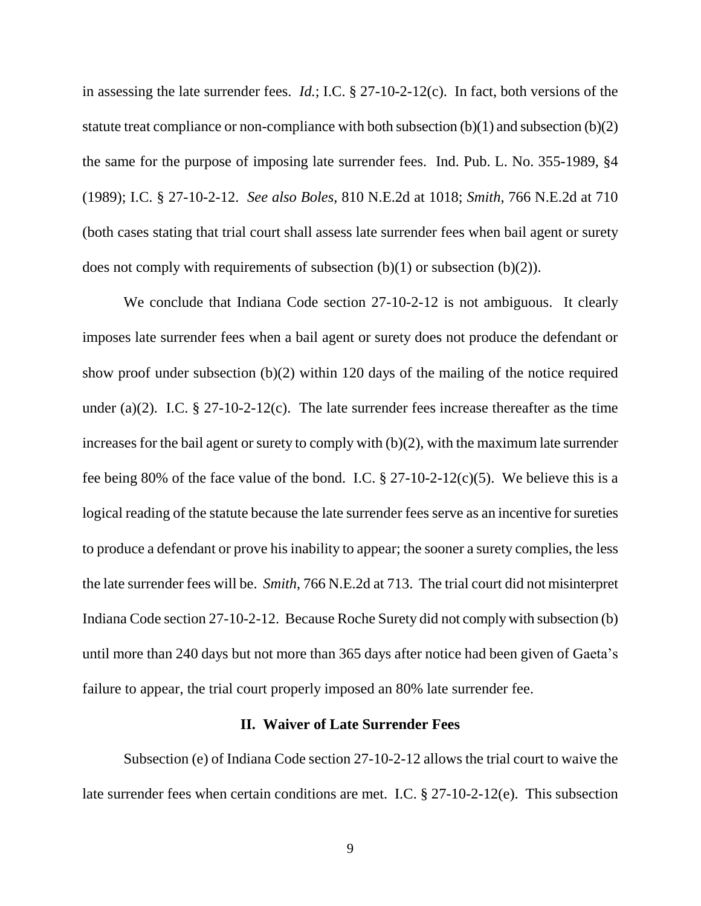in assessing the late surrender fees. *Id.*; I.C. § 27-10-2-12(c). In fact, both versions of the statute treat compliance or non-compliance with both subsection  $(b)(1)$  and subsection  $(b)(2)$ the same for the purpose of imposing late surrender fees. Ind. Pub. L. No. 355-1989, §4 (1989); I.C. § 27-10-2-12. *See also Boles*, 810 N.E.2d at 1018; *Smith*, 766 N.E.2d at 710 (both cases stating that trial court shall assess late surrender fees when bail agent or surety does not comply with requirements of subsection  $(b)(1)$  or subsection  $(b)(2)$ ).

We conclude that Indiana Code section 27-10-2-12 is not ambiguous. It clearly imposes late surrender fees when a bail agent or surety does not produce the defendant or show proof under subsection (b)(2) within 120 days of the mailing of the notice required under (a)(2). I.C.  $\S 27-10-2-12(c)$ . The late surrender fees increase thereafter as the time increases for the bail agent or surety to comply with (b)(2), with the maximum late surrender fee being 80% of the face value of the bond. I.C.  $\S 27-10-2-12(c)(5)$ . We believe this is a logical reading of the statute because the late surrender fees serve as an incentive for sureties to produce a defendant or prove his inability to appear; the sooner a surety complies, the less the late surrender fees will be. *Smith*, 766 N.E.2d at 713. The trial court did not misinterpret Indiana Code section 27-10-2-12. Because Roche Surety did not comply with subsection (b) until more than 240 days but not more than 365 days after notice had been given of Gaeta"s failure to appear, the trial court properly imposed an 80% late surrender fee.

### **II. Waiver of Late Surrender Fees**

Subsection (e) of Indiana Code section 27-10-2-12 allows the trial court to waive the late surrender fees when certain conditions are met. I.C. § 27-10-2-12(e). This subsection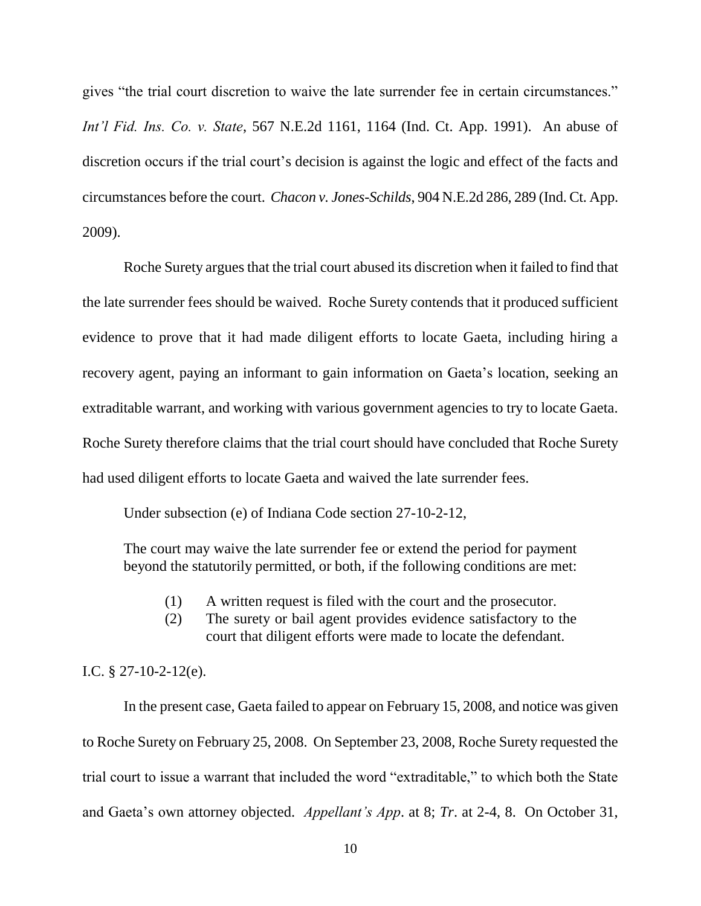gives "the trial court discretion to waive the late surrender fee in certain circumstances." *Int'l Fid. Ins. Co. v. State*, 567 N.E.2d 1161, 1164 (Ind. Ct. App. 1991). An abuse of discretion occurs if the trial court's decision is against the logic and effect of the facts and circumstances before the court. *Chacon v. Jones-Schilds*, 904 N.E.2d 286, 289 (Ind. Ct. App. 2009).

Roche Surety argues that the trial court abused its discretion when it failed to find that the late surrender fees should be waived. Roche Surety contends that it produced sufficient evidence to prove that it had made diligent efforts to locate Gaeta, including hiring a recovery agent, paying an informant to gain information on Gaeta"s location, seeking an extraditable warrant, and working with various government agencies to try to locate Gaeta. Roche Surety therefore claims that the trial court should have concluded that Roche Surety had used diligent efforts to locate Gaeta and waived the late surrender fees.

Under subsection (e) of Indiana Code section 27-10-2-12,

The court may waive the late surrender fee or extend the period for payment beyond the statutorily permitted, or both, if the following conditions are met:

- (1) A written request is filed with the court and the prosecutor.
- (2) The surety or bail agent provides evidence satisfactory to the court that diligent efforts were made to locate the defendant.

#### I.C. § 27-10-2-12(e).

In the present case, Gaeta failed to appear on February 15, 2008, and notice was given to Roche Surety on February 25, 2008. On September 23, 2008, Roche Surety requested the trial court to issue a warrant that included the word "extraditable," to which both the State and Gaeta"s own attorney objected. *Appellant's App*. at 8; *Tr*. at 2-4, 8. On October 31,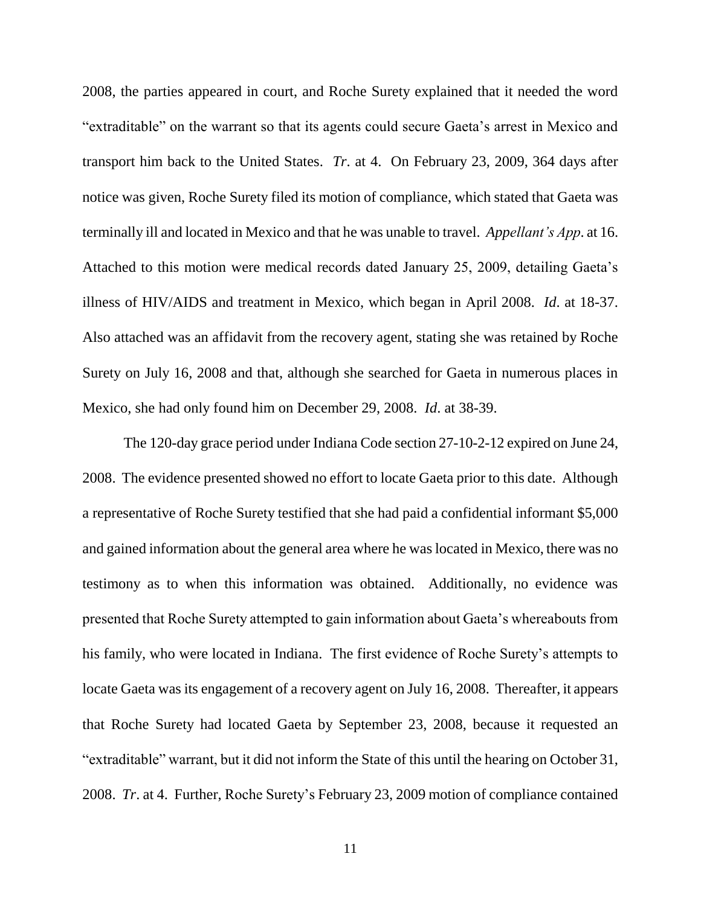2008, the parties appeared in court, and Roche Surety explained that it needed the word "extraditable" on the warrant so that its agents could secure Gaeta"s arrest in Mexico and transport him back to the United States. *Tr*. at 4. On February 23, 2009, 364 days after notice was given, Roche Surety filed its motion of compliance, which stated that Gaeta was terminally ill and located in Mexico and that he was unable to travel. *Appellant's App*. at 16. Attached to this motion were medical records dated January 25, 2009, detailing Gaeta"s illness of HIV/AIDS and treatment in Mexico, which began in April 2008. *Id*. at 18-37. Also attached was an affidavit from the recovery agent, stating she was retained by Roche Surety on July 16, 2008 and that, although she searched for Gaeta in numerous places in Mexico, she had only found him on December 29, 2008. *Id*. at 38-39.

The 120-day grace period under Indiana Code section 27-10-2-12 expired on June 24, 2008. The evidence presented showed no effort to locate Gaeta prior to this date. Although a representative of Roche Surety testified that she had paid a confidential informant \$5,000 and gained information about the general area where he was located in Mexico, there was no testimony as to when this information was obtained. Additionally, no evidence was presented that Roche Surety attempted to gain information about Gaeta"s whereabouts from his family, who were located in Indiana. The first evidence of Roche Surety"s attempts to locate Gaeta was its engagement of a recovery agent on July 16, 2008. Thereafter, it appears that Roche Surety had located Gaeta by September 23, 2008, because it requested an "extraditable" warrant, but it did not inform the State of this until the hearing on October 31, 2008. *Tr*. at 4. Further, Roche Surety"s February 23, 2009 motion of compliance contained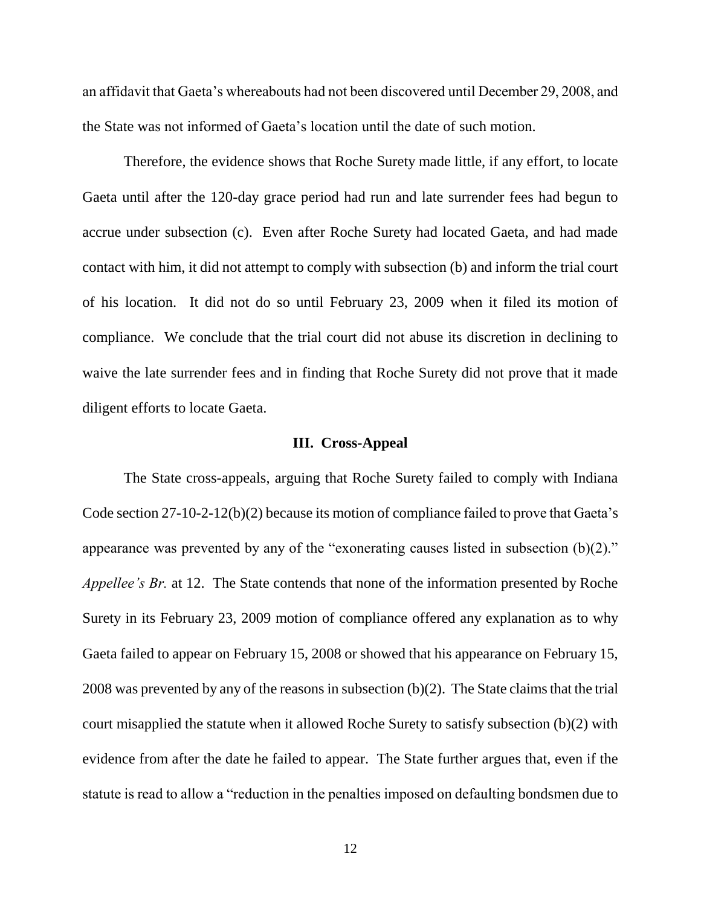an affidavit that Gaeta"s whereabouts had not been discovered until December 29, 2008, and the State was not informed of Gaeta"s location until the date of such motion.

Therefore, the evidence shows that Roche Surety made little, if any effort, to locate Gaeta until after the 120-day grace period had run and late surrender fees had begun to accrue under subsection (c). Even after Roche Surety had located Gaeta, and had made contact with him, it did not attempt to comply with subsection (b) and inform the trial court of his location. It did not do so until February 23, 2009 when it filed its motion of compliance. We conclude that the trial court did not abuse its discretion in declining to waive the late surrender fees and in finding that Roche Surety did not prove that it made diligent efforts to locate Gaeta.

#### **III. Cross-Appeal**

The State cross-appeals, arguing that Roche Surety failed to comply with Indiana Code section 27-10-2-12(b)(2) because its motion of compliance failed to prove that Gaeta's appearance was prevented by any of the "exonerating causes listed in subsection (b)(2)." *Appellee's Br.* at 12. The State contends that none of the information presented by Roche Surety in its February 23, 2009 motion of compliance offered any explanation as to why Gaeta failed to appear on February 15, 2008 or showed that his appearance on February 15, 2008 was prevented by any of the reasons in subsection (b)(2). The State claims that the trial court misapplied the statute when it allowed Roche Surety to satisfy subsection (b)(2) with evidence from after the date he failed to appear. The State further argues that, even if the statute is read to allow a "reduction in the penalties imposed on defaulting bondsmen due to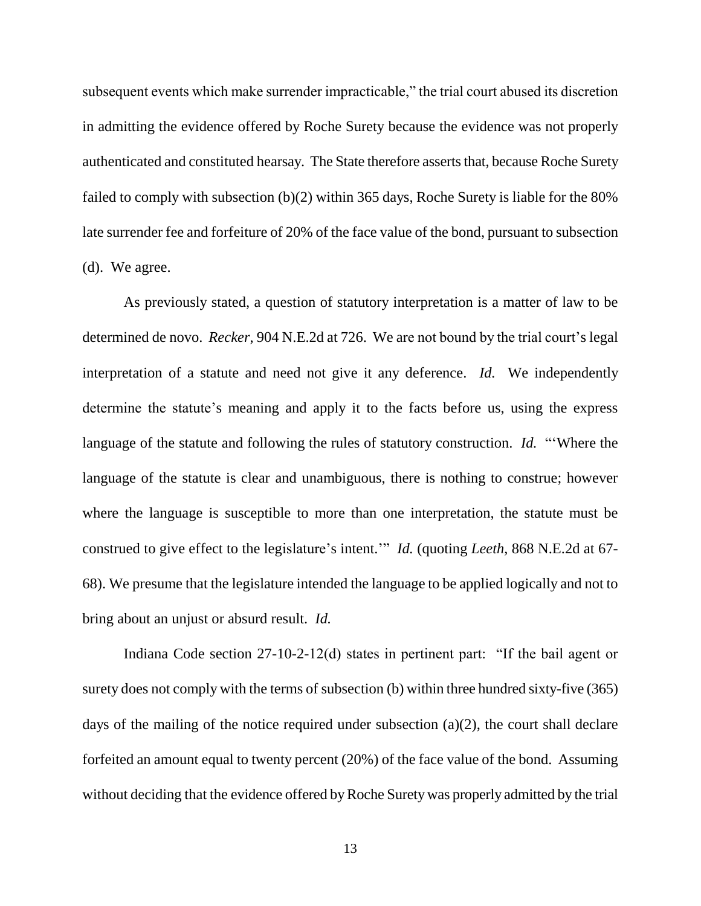subsequent events which make surrender impracticable," the trial court abused its discretion in admitting the evidence offered by Roche Surety because the evidence was not properly authenticated and constituted hearsay. The State therefore asserts that, because Roche Surety failed to comply with subsection (b)(2) within 365 days, Roche Surety is liable for the 80% late surrender fee and forfeiture of 20% of the face value of the bond, pursuant to subsection (d). We agree.

As previously stated, a question of statutory interpretation is a matter of law to be determined de novo. *Recker*, 904 N.E.2d at 726. We are not bound by the trial court's legal interpretation of a statute and need not give it any deference. *Id.* We independently determine the statute's meaning and apply it to the facts before us, using the express language of the statute and following the rules of statutory construction. *Id.* ""Where the language of the statute is clear and unambiguous, there is nothing to construe; however where the language is susceptible to more than one interpretation, the statute must be construed to give effect to the legislature"s intent."" *Id.* (quoting *Leeth*, 868 N.E.2d at 67- 68). We presume that the legislature intended the language to be applied logically and not to bring about an unjust or absurd result. *Id.*

Indiana Code section 27-10-2-12(d) states in pertinent part: "If the bail agent or surety does not comply with the terms of subsection (b) within three hundred sixty-five (365) days of the mailing of the notice required under subsection (a)(2), the court shall declare forfeited an amount equal to twenty percent (20%) of the face value of the bond. Assuming without deciding that the evidence offered by Roche Surety was properly admitted by the trial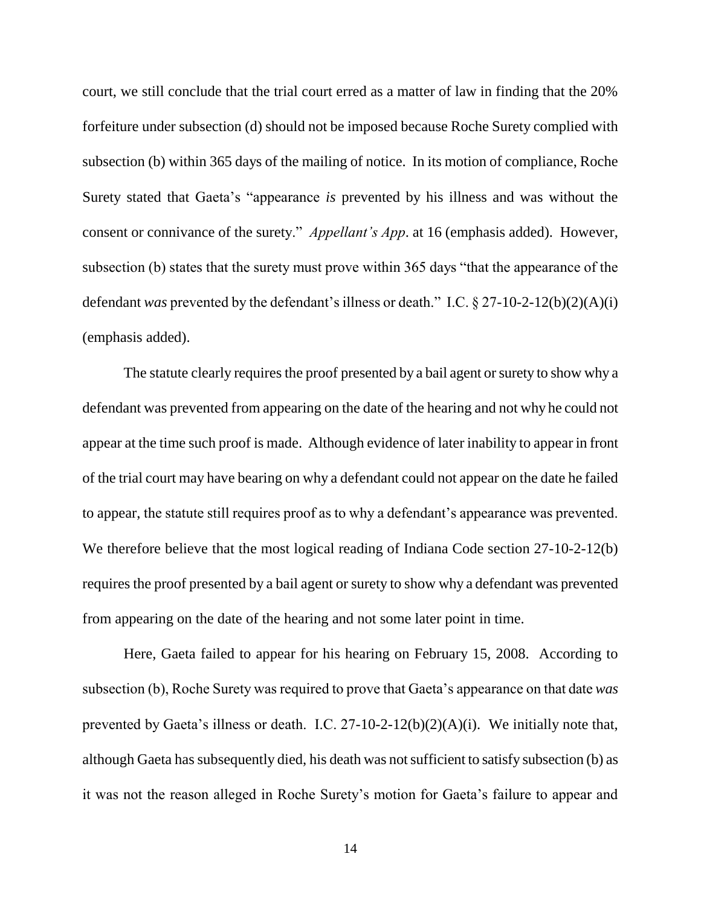court, we still conclude that the trial court erred as a matter of law in finding that the 20% forfeiture under subsection (d) should not be imposed because Roche Surety complied with subsection (b) within 365 days of the mailing of notice. In its motion of compliance, Roche Surety stated that Gaeta"s "appearance *is* prevented by his illness and was without the consent or connivance of the surety." *Appellant's App*. at 16 (emphasis added). However, subsection (b) states that the surety must prove within 365 days "that the appearance of the defendant *was* prevented by the defendant's illness or death." I.C.  $\S 27-10-2-12(b)(2)(A)(i)$ (emphasis added).

The statute clearly requires the proof presented by a bail agent or surety to show why a defendant was prevented from appearing on the date of the hearing and not why he could not appear at the time such proof is made. Although evidence of later inability to appear in front of the trial court may have bearing on why a defendant could not appear on the date he failed to appear, the statute still requires proof as to why a defendant"s appearance was prevented. We therefore believe that the most logical reading of Indiana Code section 27-10-2-12(b) requires the proof presented by a bail agent or surety to show why a defendant was prevented from appearing on the date of the hearing and not some later point in time.

Here, Gaeta failed to appear for his hearing on February 15, 2008. According to subsection (b), Roche Surety was required to prove that Gaeta"s appearance on that date *was*  prevented by Gaeta's illness or death. I.C. 27-10-2-12(b)(2)(A)(i). We initially note that, although Gaeta has subsequently died, his death was not sufficient to satisfy subsection (b) as it was not the reason alleged in Roche Surety"s motion for Gaeta"s failure to appear and